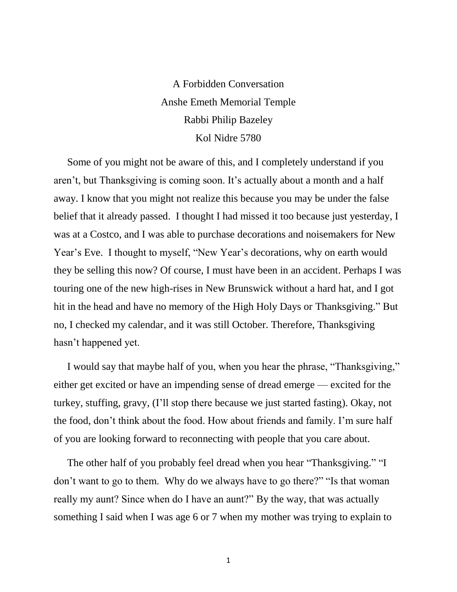A Forbidden Conversation Anshe Emeth Memorial Temple Rabbi Philip Bazeley Kol Nidre 5780

Some of you might not be aware of this, and I completely understand if you aren't, but Thanksgiving is coming soon. It's actually about a month and a half away. I know that you might not realize this because you may be under the false belief that it already passed. I thought I had missed it too because just yesterday, I was at a Costco, and I was able to purchase decorations and noisemakers for New Year's Eve. I thought to myself, "New Year's decorations, why on earth would they be selling this now? Of course, I must have been in an accident. Perhaps I was touring one of the new high-rises in New Brunswick without a hard hat, and I got hit in the head and have no memory of the High Holy Days or Thanksgiving." But no, I checked my calendar, and it was still October. Therefore, Thanksgiving hasn't happened yet.

I would say that maybe half of you, when you hear the phrase, "Thanksgiving," either get excited or have an impending sense of dread emerge — excited for the turkey, stuffing, gravy, (I'll stop there because we just started fasting). Okay, not the food, don't think about the food. How about friends and family. I'm sure half of you are looking forward to reconnecting with people that you care about.

The other half of you probably feel dread when you hear "Thanksgiving." "I don't want to go to them. Why do we always have to go there?" "Is that woman really my aunt? Since when do I have an aunt?" By the way, that was actually something I said when I was age 6 or 7 when my mother was trying to explain to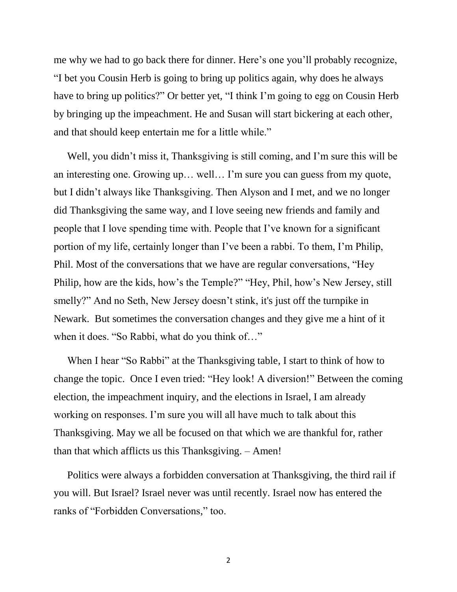me why we had to go back there for dinner. Here's one you'll probably recognize, "I bet you Cousin Herb is going to bring up politics again, why does he always have to bring up politics?" Or better yet, "I think I'm going to egg on Cousin Herb by bringing up the impeachment. He and Susan will start bickering at each other, and that should keep entertain me for a little while."

Well, you didn't miss it, Thanksgiving is still coming, and I'm sure this will be an interesting one. Growing up… well… I'm sure you can guess from my quote, but I didn't always like Thanksgiving. Then Alyson and I met, and we no longer did Thanksgiving the same way, and I love seeing new friends and family and people that I love spending time with. People that I've known for a significant portion of my life, certainly longer than I've been a rabbi. To them, I'm Philip, Phil. Most of the conversations that we have are regular conversations, "Hey Philip, how are the kids, how's the Temple?" "Hey, Phil, how's New Jersey, still smelly?" And no Seth, New Jersey doesn't stink, it's just off the turnpike in Newark. But sometimes the conversation changes and they give me a hint of it when it does. "So Rabbi, what do you think of…"

When I hear "So Rabbi" at the Thanksgiving table, I start to think of how to change the topic. Once I even tried: "Hey look! A diversion!" Between the coming election, the impeachment inquiry, and the elections in Israel, I am already working on responses. I'm sure you will all have much to talk about this Thanksgiving. May we all be focused on that which we are thankful for, rather than that which afflicts us this Thanksgiving. – Amen!

Politics were always a forbidden conversation at Thanksgiving, the third rail if you will. But Israel? Israel never was until recently. Israel now has entered the ranks of "Forbidden Conversations," too.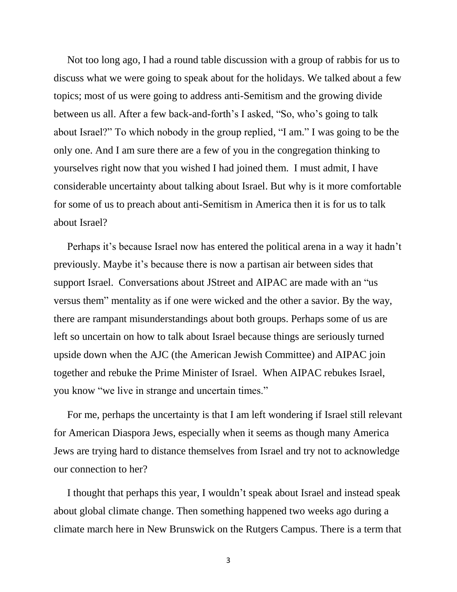Not too long ago, I had a round table discussion with a group of rabbis for us to discuss what we were going to speak about for the holidays. We talked about a few topics; most of us were going to address anti-Semitism and the growing divide between us all. After a few back-and-forth's I asked, "So, who's going to talk about Israel?" To which nobody in the group replied, "I am." I was going to be the only one. And I am sure there are a few of you in the congregation thinking to yourselves right now that you wished I had joined them. I must admit, I have considerable uncertainty about talking about Israel. But why is it more comfortable for some of us to preach about anti-Semitism in America then it is for us to talk about Israel?

Perhaps it's because Israel now has entered the political arena in a way it hadn't previously. Maybe it's because there is now a partisan air between sides that support Israel. Conversations about JStreet and AIPAC are made with an "us versus them" mentality as if one were wicked and the other a savior. By the way, there are rampant misunderstandings about both groups. Perhaps some of us are left so uncertain on how to talk about Israel because things are seriously turned upside down when the AJC (the American Jewish Committee) and AIPAC join together and rebuke the Prime Minister of Israel. When AIPAC rebukes Israel, you know "we live in strange and uncertain times."

For me, perhaps the uncertainty is that I am left wondering if Israel still relevant for American Diaspora Jews, especially when it seems as though many America Jews are trying hard to distance themselves from Israel and try not to acknowledge our connection to her?

I thought that perhaps this year, I wouldn't speak about Israel and instead speak about global climate change. Then something happened two weeks ago during a climate march here in New Brunswick on the Rutgers Campus. There is a term that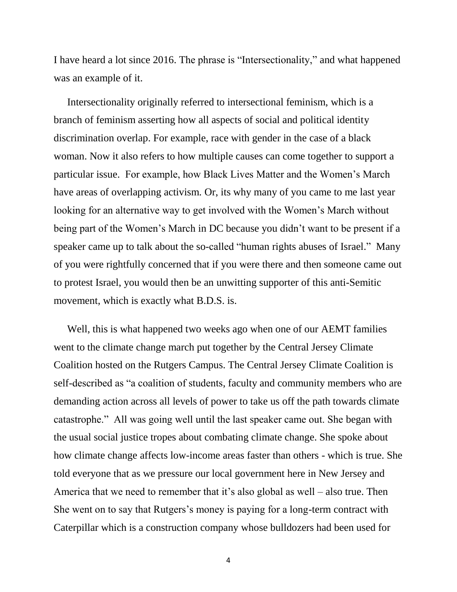I have heard a lot since 2016. The phrase is "Intersectionality," and what happened was an example of it.

Intersectionality originally referred to intersectional feminism, which is a branch of feminism asserting how all aspects of social and political identity discrimination overlap. For example, race with gender in the case of a black woman. Now it also refers to how multiple causes can come together to support a particular issue. For example, how Black Lives Matter and the Women's March have areas of overlapping activism. Or, its why many of you came to me last year looking for an alternative way to get involved with the Women's March without being part of the Women's March in DC because you didn't want to be present if a speaker came up to talk about the so-called "human rights abuses of Israel." Many of you were rightfully concerned that if you were there and then someone came out to protest Israel, you would then be an unwitting supporter of this anti-Semitic movement, which is exactly what B.D.S. is.

Well, this is what happened two weeks ago when one of our AEMT families went to the climate change march put together by the Central Jersey Climate Coalition hosted on the Rutgers Campus. The Central Jersey Climate Coalition is self-described as "a coalition of students, faculty and community members who are demanding action across all levels of power to take us off the path towards climate catastrophe." All was going well until the last speaker came out. She began with the usual social justice tropes about combating climate change. She spoke about how climate change affects low-income areas faster than others - which is true. She told everyone that as we pressure our local government here in New Jersey and America that we need to remember that it's also global as well – also true. Then She went on to say that Rutgers's money is paying for a long-term contract with Caterpillar which is a construction company whose bulldozers had been used for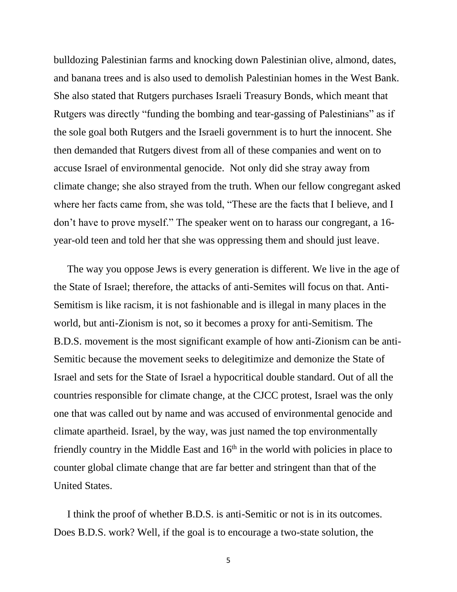bulldozing Palestinian farms and knocking down Palestinian olive, almond, dates, and banana trees and is also used to demolish Palestinian homes in the West Bank. She also stated that Rutgers purchases Israeli Treasury Bonds, which meant that Rutgers was directly "funding the bombing and tear-gassing of Palestinians" as if the sole goal both Rutgers and the Israeli government is to hurt the innocent. She then demanded that Rutgers divest from all of these companies and went on to accuse Israel of environmental genocide. Not only did she stray away from climate change; she also strayed from the truth. When our fellow congregant asked where her facts came from, she was told, "These are the facts that I believe, and I don't have to prove myself." The speaker went on to harass our congregant, a 16 year-old teen and told her that she was oppressing them and should just leave.

The way you oppose Jews is every generation is different. We live in the age of the State of Israel; therefore, the attacks of anti-Semites will focus on that. Anti-Semitism is like racism, it is not fashionable and is illegal in many places in the world, but anti-Zionism is not, so it becomes a proxy for anti-Semitism. The B.D.S. movement is the most significant example of how anti-Zionism can be anti-Semitic because the movement seeks to delegitimize and demonize the State of Israel and sets for the State of Israel a hypocritical double standard. Out of all the countries responsible for climate change, at the CJCC protest, Israel was the only one that was called out by name and was accused of environmental genocide and climate apartheid. Israel, by the way, was just named the top environmentally friendly country in the Middle East and  $16<sup>th</sup>$  in the world with policies in place to counter global climate change that are far better and stringent than that of the United States.

I think the proof of whether B.D.S. is anti-Semitic or not is in its outcomes. Does B.D.S. work? Well, if the goal is to encourage a two-state solution, the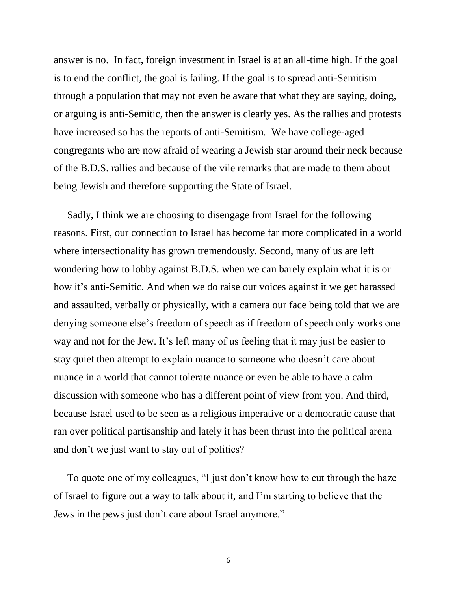answer is no. In fact, foreign investment in Israel is at an all-time high. If the goal is to end the conflict, the goal is failing. If the goal is to spread anti-Semitism through a population that may not even be aware that what they are saying, doing, or arguing is anti-Semitic, then the answer is clearly yes. As the rallies and protests have increased so has the reports of anti-Semitism. We have college-aged congregants who are now afraid of wearing a Jewish star around their neck because of the B.D.S. rallies and because of the vile remarks that are made to them about being Jewish and therefore supporting the State of Israel.

Sadly, I think we are choosing to disengage from Israel for the following reasons. First, our connection to Israel has become far more complicated in a world where intersectionality has grown tremendously. Second, many of us are left wondering how to lobby against B.D.S. when we can barely explain what it is or how it's anti-Semitic. And when we do raise our voices against it we get harassed and assaulted, verbally or physically, with a camera our face being told that we are denying someone else's freedom of speech as if freedom of speech only works one way and not for the Jew. It's left many of us feeling that it may just be easier to stay quiet then attempt to explain nuance to someone who doesn't care about nuance in a world that cannot tolerate nuance or even be able to have a calm discussion with someone who has a different point of view from you. And third, because Israel used to be seen as a religious imperative or a democratic cause that ran over political partisanship and lately it has been thrust into the political arena and don't we just want to stay out of politics?

To quote one of my colleagues, "I just don't know how to cut through the haze of Israel to figure out a way to talk about it, and I'm starting to believe that the Jews in the pews just don't care about Israel anymore."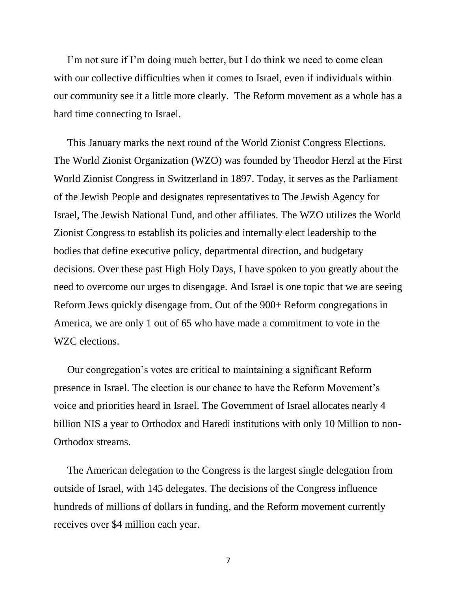I'm not sure if I'm doing much better, but I do think we need to come clean with our collective difficulties when it comes to Israel, even if individuals within our community see it a little more clearly. The Reform movement as a whole has a hard time connecting to Israel.

This January marks the next round of the World Zionist Congress Elections. The World Zionist Organization (WZO) was founded by Theodor Herzl at the First World Zionist Congress in Switzerland in 1897. Today, it serves as the Parliament of the Jewish People and designates representatives to The Jewish Agency for Israel, The Jewish National Fund, and other affiliates. The WZO utilizes the World Zionist Congress to establish its policies and internally elect leadership to the bodies that define executive policy, departmental direction, and budgetary decisions. Over these past High Holy Days, I have spoken to you greatly about the need to overcome our urges to disengage. And Israel is one topic that we are seeing Reform Jews quickly disengage from. Out of the 900+ Reform congregations in America, we are only 1 out of 65 who have made a commitment to vote in the WZC elections.

Our congregation's votes are critical to maintaining a significant Reform presence in Israel. The election is our chance to have the Reform Movement's voice and priorities heard in Israel. The Government of Israel allocates nearly 4 billion NIS a year to Orthodox and Haredi institutions with only 10 Million to non-Orthodox streams.

The American delegation to the Congress is the largest single delegation from outside of Israel, with 145 delegates. The decisions of the Congress influence hundreds of millions of dollars in funding, and the Reform movement currently receives over \$4 million each year.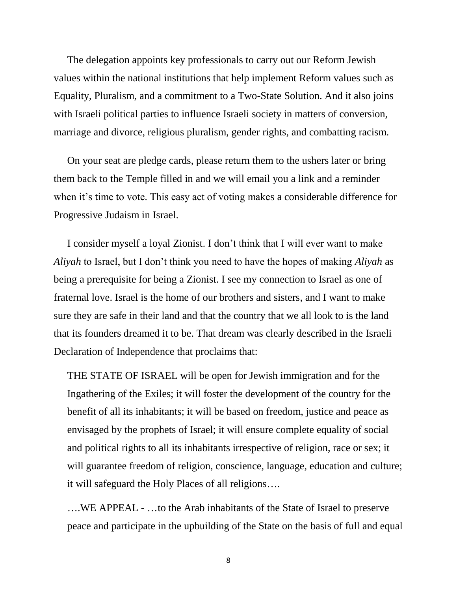The delegation appoints key professionals to carry out our Reform Jewish values within the national institutions that help implement Reform values such as Equality, Pluralism, and a commitment to a Two-State Solution. And it also joins with Israeli political parties to influence Israeli society in matters of conversion, marriage and divorce, religious pluralism, gender rights, and combatting racism.

On your seat are pledge cards, please return them to the ushers later or bring them back to the Temple filled in and we will email you a link and a reminder when it's time to vote. This easy act of voting makes a considerable difference for Progressive Judaism in Israel.

I consider myself a loyal Zionist. I don't think that I will ever want to make *Aliyah* to Israel, but I don't think you need to have the hopes of making *Aliyah* as being a prerequisite for being a Zionist. I see my connection to Israel as one of fraternal love. Israel is the home of our brothers and sisters, and I want to make sure they are safe in their land and that the country that we all look to is the land that its founders dreamed it to be. That dream was clearly described in the Israeli Declaration of Independence that proclaims that:

THE STATE OF ISRAEL will be open for Jewish immigration and for the Ingathering of the Exiles; it will foster the development of the country for the benefit of all its inhabitants; it will be based on freedom, justice and peace as envisaged by the prophets of Israel; it will ensure complete equality of social and political rights to all its inhabitants irrespective of religion, race or sex; it will guarantee freedom of religion, conscience, language, education and culture; it will safeguard the Holy Places of all religions….

….WE APPEAL - …to the Arab inhabitants of the State of Israel to preserve peace and participate in the upbuilding of the State on the basis of full and equal